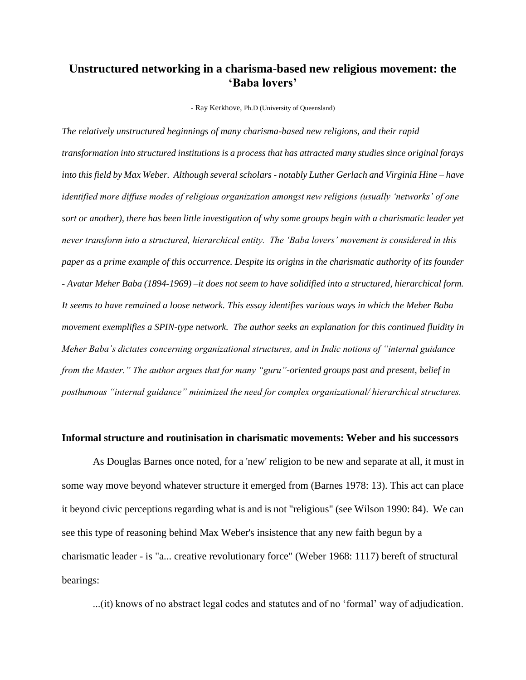# **Unstructured networking in a charisma-based new religious movement: the 'Baba lovers'**

- Ray Kerkhove, Ph.D (University of Queensland)

*The relatively unstructured beginnings of many charisma-based new religions, and their rapid transformation into structured institutions is a process that has attracted many studies since original forays into this field by Max Weber. Although several scholars - notably Luther Gerlach and Virginia Hine – have identified more diffuse modes of religious organization amongst new religions (usually 'networks' of one sort or another), there has been little investigation of why some groups begin with a charismatic leader yet never transform into a structured, hierarchical entity. The 'Baba lovers' movement is considered in this paper as a prime example of this occurrence. Despite its origins in the charismatic authority of its founder - Avatar Meher Baba (1894-1969) –it does not seem to have solidified into a structured, hierarchical form. It seems to have remained a loose network. This essay identifies various ways in which the Meher Baba movement exemplifies a SPIN-type network. The author seeks an explanation for this continued fluidity in Meher Baba's dictates concerning organizational structures, and in Indic notions of "internal guidance from the Master." The author argues that for many "guru"-oriented groups past and present, belief in posthumous "internal guidance" minimized the need for complex organizational/ hierarchical structures.* 

### **Informal structure and routinisation in charismatic movements: Weber and his successors**

As Douglas Barnes once noted, for a 'new' religion to be new and separate at all, it must in some way move beyond whatever structure it emerged from (Barnes 1978: 13). This act can place it beyond civic perceptions regarding what is and is not "religious" (see Wilson 1990: 84). We can see this type of reasoning behind Max Weber's insistence that any new faith begun by a charismatic leader - is "a... creative revolutionary force" (Weber 1968: 1117) bereft of structural bearings:

...(it) knows of no abstract legal codes and statutes and of no 'formal' way of adjudication.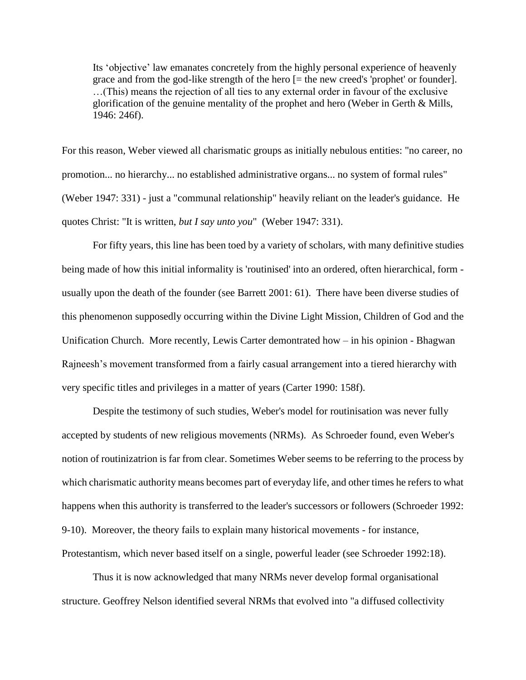Its 'objective' law emanates concretely from the highly personal experience of heavenly grace and from the god-like strength of the hero [= the new creed's 'prophet' or founder]. …(This) means the rejection of all ties to any external order in favour of the exclusive glorification of the genuine mentality of the prophet and hero (Weber in Gerth & Mills, 1946: 246f).

For this reason, Weber viewed all charismatic groups as initially nebulous entities: "no career, no promotion... no hierarchy... no established administrative organs... no system of formal rules" (Weber 1947: 331) - just a "communal relationship" heavily reliant on the leader's guidance. He quotes Christ: "It is written, *but I say unto you*" (Weber 1947: 331).

For fifty years, this line has been toed by a variety of scholars, with many definitive studies being made of how this initial informality is 'routinised' into an ordered, often hierarchical, form usually upon the death of the founder (see Barrett 2001: 61). There have been diverse studies of this phenomenon supposedly occurring within the Divine Light Mission, Children of God and the Unification Church. More recently, Lewis Carter demontrated how – in his opinion - Bhagwan Rajneesh's movement transformed from a fairly casual arrangement into a tiered hierarchy with very specific titles and privileges in a matter of years (Carter 1990: 158f).

Despite the testimony of such studies, Weber's model for routinisation was never fully accepted by students of new religious movements (NRMs). As Schroeder found, even Weber's notion of routinizatrion is far from clear. Sometimes Weber seems to be referring to the process by which charismatic authority means becomes part of everyday life, and other times he refers to what happens when this authority is transferred to the leader's successors or followers (Schroeder 1992: 9-10). Moreover, the theory fails to explain many historical movements - for instance, Protestantism, which never based itself on a single, powerful leader (see Schroeder 1992:18).

Thus it is now acknowledged that many NRMs never develop formal organisational structure. Geoffrey Nelson identified several NRMs that evolved into "a diffused collectivity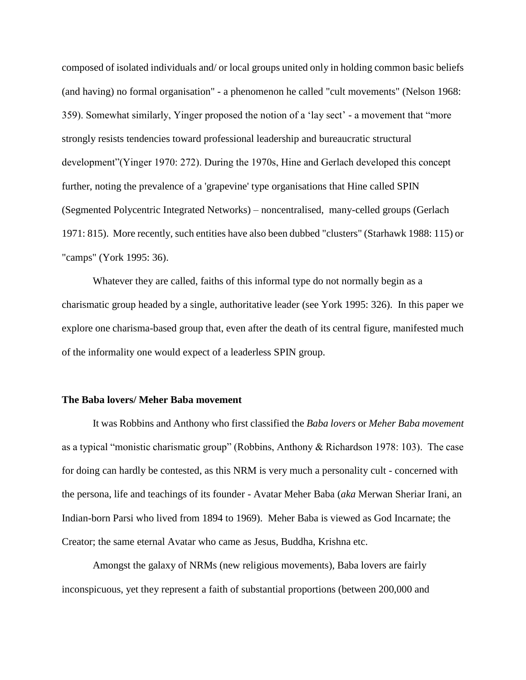composed of isolated individuals and/ or local groups united only in holding common basic beliefs (and having) no formal organisation" - a phenomenon he called "cult movements" (Nelson 1968: 359). Somewhat similarly, Yinger proposed the notion of a 'lay sect' - a movement that "more strongly resists tendencies toward professional leadership and bureaucratic structural development"(Yinger 1970: 272). During the 1970s, Hine and Gerlach developed this concept further, noting the prevalence of a 'grapevine' type organisations that Hine called SPIN (Segmented Polycentric Integrated Networks) – noncentralised, many-celled groups (Gerlach 1971: 815). More recently, such entities have also been dubbed "clusters" (Starhawk 1988: 115) or "camps" (York 1995: 36).

Whatever they are called, faiths of this informal type do not normally begin as a charismatic group headed by a single, authoritative leader (see York 1995: 326). In this paper we explore one charisma-based group that, even after the death of its central figure, manifested much of the informality one would expect of a leaderless SPIN group.

#### **The Baba lovers/ Meher Baba movement**

It was Robbins and Anthony who first classified the *Baba lovers* or *Meher Baba movement*  as a typical "monistic charismatic group" (Robbins, Anthony & Richardson 1978: 103). The case for doing can hardly be contested, as this NRM is very much a personality cult - concerned with the persona, life and teachings of its founder - Avatar Meher Baba (*aka* Merwan Sheriar Irani, an Indian-born Parsi who lived from 1894 to 1969). Meher Baba is viewed as God Incarnate; the Creator; the same eternal Avatar who came as Jesus, Buddha, Krishna etc.

Amongst the galaxy of NRMs (new religious movements), Baba lovers are fairly inconspicuous, yet they represent a faith of substantial proportions (between 200,000 and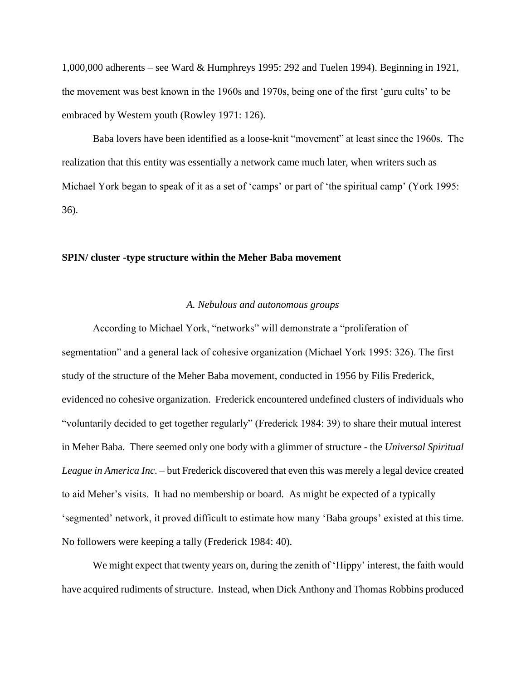1,000,000 adherents – see Ward & Humphreys 1995: 292 and Tuelen 1994). Beginning in 1921, the movement was best known in the 1960s and 1970s, being one of the first 'guru cults' to be embraced by Western youth (Rowley 1971: 126).

Baba lovers have been identified as a loose-knit "movement" at least since the 1960s. The realization that this entity was essentially a network came much later, when writers such as Michael York began to speak of it as a set of 'camps' or part of 'the spiritual camp' (York 1995: 36).

### **SPIN/ cluster -type structure within the Meher Baba movement**

### *A. Nebulous and autonomous groups*

According to Michael York, "networks" will demonstrate a "proliferation of segmentation" and a general lack of cohesive organization (Michael York 1995: 326). The first study of the structure of the Meher Baba movement, conducted in 1956 by Filis Frederick, evidenced no cohesive organization. Frederick encountered undefined clusters of individuals who "voluntarily decided to get together regularly" (Frederick 1984: 39) to share their mutual interest in Meher Baba. There seemed only one body with a glimmer of structure - the *Universal Spiritual League in America Inc*. – but Frederick discovered that even this was merely a legal device created to aid Meher's visits. It had no membership or board. As might be expected of a typically 'segmented' network, it proved difficult to estimate how many 'Baba groups' existed at this time. No followers were keeping a tally (Frederick 1984: 40).

We might expect that twenty years on, during the zenith of 'Hippy' interest, the faith would have acquired rudiments of structure. Instead, when Dick Anthony and Thomas Robbins produced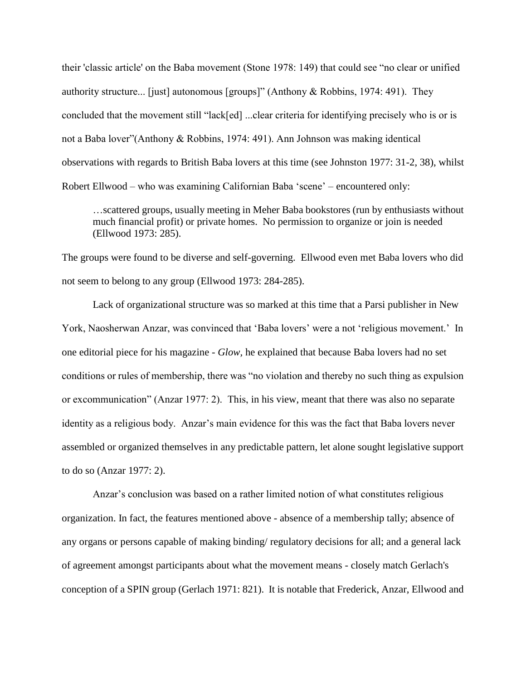their 'classic article' on the Baba movement (Stone 1978: 149) that could see "no clear or unified authority structure... [just] autonomous [groups]" (Anthony & Robbins, 1974: 491). They concluded that the movement still "lack[ed] ...clear criteria for identifying precisely who is or is not a Baba lover"(Anthony & Robbins, 1974: 491). Ann Johnson was making identical observations with regards to British Baba lovers at this time (see Johnston 1977: 31-2, 38), whilst Robert Ellwood – who was examining Californian Baba 'scene' – encountered only:

…scattered groups, usually meeting in Meher Baba bookstores (run by enthusiasts without much financial profit) or private homes. No permission to organize or join is needed (Ellwood 1973: 285).

The groups were found to be diverse and self-governing. Ellwood even met Baba lovers who did not seem to belong to any group (Ellwood 1973: 284-285).

Lack of organizational structure was so marked at this time that a Parsi publisher in New York, Naosherwan Anzar, was convinced that 'Baba lovers' were a not 'religious movement.' In one editorial piece for his magazine - *Glow,* he explained that because Baba lovers had no set conditions or rules of membership, there was "no violation and thereby no such thing as expulsion or excommunication" (Anzar 1977: 2). This, in his view, meant that there was also no separate identity as a religious body. Anzar's main evidence for this was the fact that Baba lovers never assembled or organized themselves in any predictable pattern, let alone sought legislative support to do so (Anzar 1977: 2).

Anzar's conclusion was based on a rather limited notion of what constitutes religious organization. In fact, the features mentioned above - absence of a membership tally; absence of any organs or persons capable of making binding/ regulatory decisions for all; and a general lack of agreement amongst participants about what the movement means - closely match Gerlach's conception of a SPIN group (Gerlach 1971: 821). It is notable that Frederick, Anzar, Ellwood and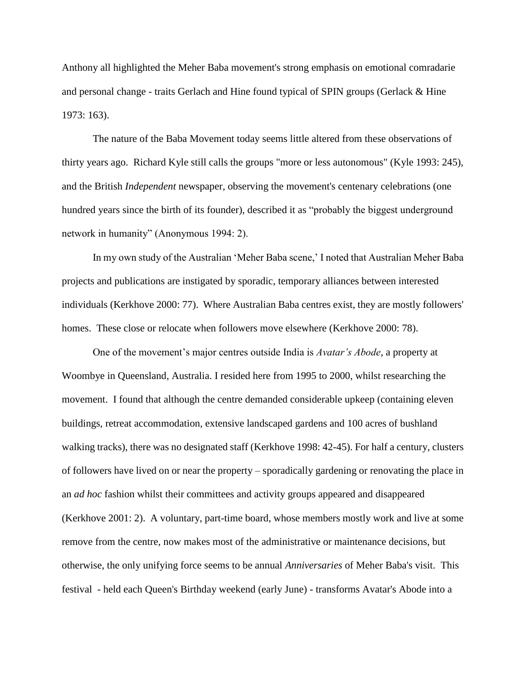Anthony all highlighted the Meher Baba movement's strong emphasis on emotional comradarie and personal change - traits Gerlach and Hine found typical of SPIN groups (Gerlack & Hine 1973: 163).

The nature of the Baba Movement today seems little altered from these observations of thirty years ago. Richard Kyle still calls the groups "more or less autonomous" (Kyle 1993: 245), and the British *Independent* newspaper*,* observing the movement's centenary celebrations (one hundred years since the birth of its founder), described it as "probably the biggest underground network in humanity" (Anonymous 1994: 2).

In my own study of the Australian 'Meher Baba scene,' I noted that Australian Meher Baba projects and publications are instigated by sporadic, temporary alliances between interested individuals (Kerkhove 2000: 77). Where Australian Baba centres exist, they are mostly followers' homes. These close or relocate when followers move elsewhere (Kerkhove 2000: 78).

One of the movement's major centres outside India is *Avatar's Abode*, a property at Woombye in Queensland, Australia. I resided here from 1995 to 2000, whilst researching the movement. I found that although the centre demanded considerable upkeep (containing eleven buildings, retreat accommodation, extensive landscaped gardens and 100 acres of bushland walking tracks), there was no designated staff (Kerkhove 1998: 42-45). For half a century, clusters of followers have lived on or near the property – sporadically gardening or renovating the place in an *ad hoc* fashion whilst their committees and activity groups appeared and disappeared (Kerkhove 2001: 2). A voluntary, part-time board, whose members mostly work and live at some remove from the centre, now makes most of the administrative or maintenance decisions, but otherwise, the only unifying force seems to be annual *Anniversaries* of Meher Baba's visit. This festival - held each Queen's Birthday weekend (early June) - transforms Avatar's Abode into a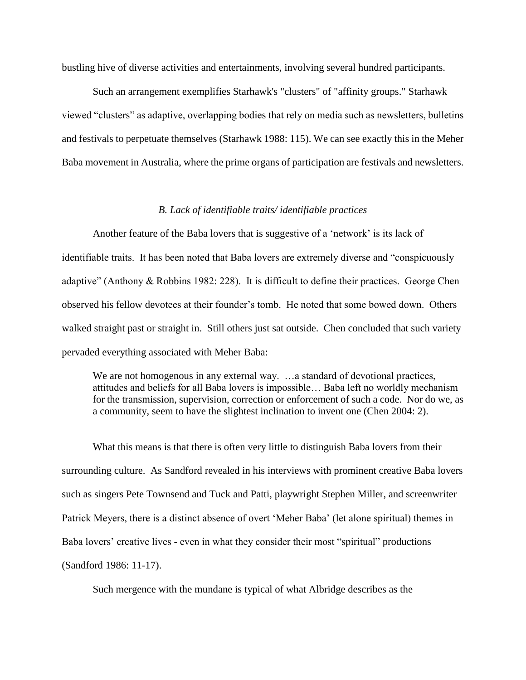bustling hive of diverse activities and entertainments, involving several hundred participants.

Such an arrangement exemplifies Starhawk's "clusters" of "affinity groups." Starhawk viewed "clusters" as adaptive, overlapping bodies that rely on media such as newsletters, bulletins and festivals to perpetuate themselves (Starhawk 1988: 115). We can see exactly this in the Meher Baba movement in Australia, where the prime organs of participation are festivals and newsletters.

### *B. Lack of identifiable traits/ identifiable practices*

Another feature of the Baba lovers that is suggestive of a 'network' is its lack of identifiable traits. It has been noted that Baba lovers are extremely diverse and "conspicuously adaptive" (Anthony & Robbins 1982: 228). It is difficult to define their practices. George Chen observed his fellow devotees at their founder's tomb. He noted that some bowed down. Others walked straight past or straight in. Still others just sat outside. Chen concluded that such variety pervaded everything associated with Meher Baba:

We are not homogenous in any external way. ... a standard of devotional practices, attitudes and beliefs for all Baba lovers is impossible… Baba left no worldly mechanism for the transmission, supervision, correction or enforcement of such a code. Nor do we, as a community, seem to have the slightest inclination to invent one (Chen 2004: 2).

What this means is that there is often very little to distinguish Baba lovers from their surrounding culture. As Sandford revealed in his interviews with prominent creative Baba lovers such as singers Pete Townsend and Tuck and Patti, playwright Stephen Miller, and screenwriter Patrick Meyers, there is a distinct absence of overt 'Meher Baba' (let alone spiritual) themes in Baba lovers' creative lives - even in what they consider their most "spiritual" productions (Sandford 1986: 11-17).

Such mergence with the mundane is typical of what Albridge describes as the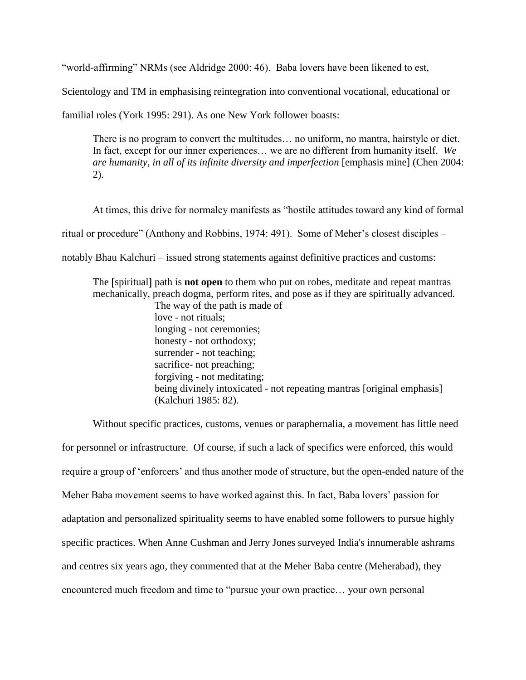"world-affirming" NRMs (see Aldridge 2000: 46). Baba lovers have been likened to est,

Scientology and TM in emphasising reintegration into conventional vocational, educational or

familial roles (York 1995: 291). As one New York follower boasts:

There is no program to convert the multitudes… no uniform, no mantra, hairstyle or diet. In fact, except for our inner experiences… we are no different from humanity itself. *We are humanity, in all of its infinite diversity and imperfection* [emphasis mine] (Chen 2004: 2).

At times, this drive for normalcy manifests as "hostile attitudes toward any kind of formal ritual or procedure" (Anthony and Robbins, 1974: 491). Some of Meher's closest disciples – notably Bhau Kalchuri – issued strong statements against definitive practices and customs:

The [spiritual] path is **not open** to them who put on robes, meditate and repeat mantras mechanically, preach dogma, perform rites, and pose as if they are spiritually advanced.

The way of the path is made of love - not rituals; longing - not ceremonies; honesty - not orthodoxy; surrender - not teaching; sacrifice- not preaching; forgiving - not meditating; being divinely intoxicated - not repeating mantras [original emphasis] (Kalchuri 1985: 82).

Without specific practices, customs, venues or paraphernalia, a movement has little need for personnel or infrastructure. Of course, if such a lack of specifics were enforced, this would require a group of 'enforcers' and thus another mode of structure, but the open-ended nature of the Meher Baba movement seems to have worked against this. In fact, Baba lovers' passion for adaptation and personalized spirituality seems to have enabled some followers to pursue highly specific practices. When Anne Cushman and Jerry Jones surveyed India's innumerable ashrams and centres six years ago, they commented that at the Meher Baba centre (Meherabad), they encountered much freedom and time to "pursue your own practice… your own personal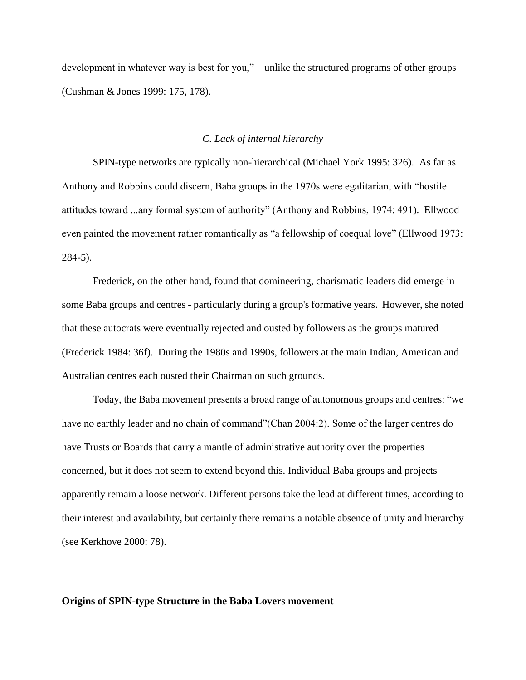development in whatever way is best for you," – unlike the structured programs of other groups (Cushman & Jones 1999: 175, 178).

#### *C. Lack of internal hierarchy*

SPIN-type networks are typically non-hierarchical (Michael York 1995: 326). As far as Anthony and Robbins could discern, Baba groups in the 1970s were egalitarian, with "hostile attitudes toward ...any formal system of authority" (Anthony and Robbins, 1974: 491). Ellwood even painted the movement rather romantically as "a fellowship of coequal love" (Ellwood 1973: 284-5).

Frederick, on the other hand, found that domineering, charismatic leaders did emerge in some Baba groups and centres - particularly during a group's formative years. However, she noted that these autocrats were eventually rejected and ousted by followers as the groups matured (Frederick 1984: 36f). During the 1980s and 1990s, followers at the main Indian, American and Australian centres each ousted their Chairman on such grounds.

Today, the Baba movement presents a broad range of autonomous groups and centres: "we have no earthly leader and no chain of command"(Chan 2004:2). Some of the larger centres do have Trusts or Boards that carry a mantle of administrative authority over the properties concerned, but it does not seem to extend beyond this. Individual Baba groups and projects apparently remain a loose network. Different persons take the lead at different times, according to their interest and availability, but certainly there remains a notable absence of unity and hierarchy (see Kerkhove 2000: 78).

#### **Origins of SPIN-type Structure in the Baba Lovers movement**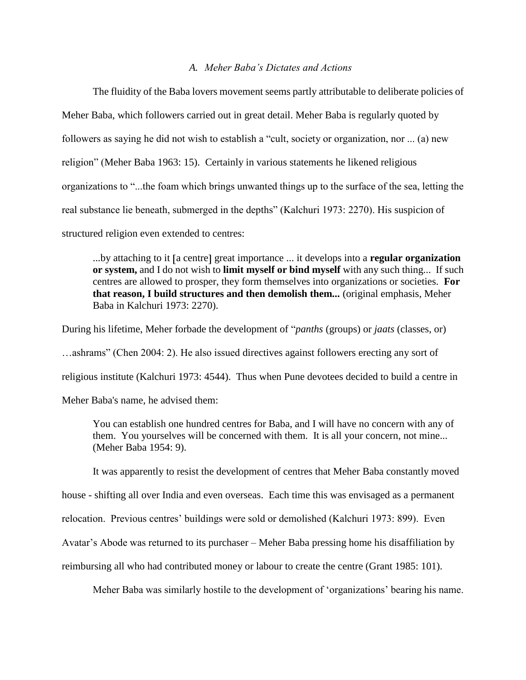#### *A. Meher Baba's Dictates and Actions*

The fluidity of the Baba lovers movement seems partly attributable to deliberate policies of Meher Baba, which followers carried out in great detail. Meher Baba is regularly quoted by followers as saying he did not wish to establish a "cult, society or organization, nor ... (a) new religion" (Meher Baba 1963: 15). Certainly in various statements he likened religious organizations to "...the foam which brings unwanted things up to the surface of the sea, letting the real substance lie beneath, submerged in the depths" (Kalchuri 1973: 2270). His suspicion of structured religion even extended to centres:

...by attaching to it [a centre] great importance ... it develops into a **regular organization or system,** and I do not wish to **limit myself or bind myself** with any such thing... If such centres are allowed to prosper, they form themselves into organizations or societies. **For that reason, I build structures and then demolish them...** (original emphasis, Meher Baba in Kalchuri 1973: 2270).

During his lifetime, Meher forbade the development of "*panths* (groups) or *jaats* (classes, or)

…ashrams" (Chen 2004: 2). He also issued directives against followers erecting any sort of

religious institute (Kalchuri 1973: 4544). Thus when Pune devotees decided to build a centre in

Meher Baba's name, he advised them:

You can establish one hundred centres for Baba, and I will have no concern with any of them. You yourselves will be concerned with them. It is all your concern, not mine... (Meher Baba 1954: 9).

It was apparently to resist the development of centres that Meher Baba constantly moved

house - shifting all over India and even overseas. Each time this was envisaged as a permanent

relocation. Previous centres' buildings were sold or demolished (Kalchuri 1973: 899). Even

Avatar's Abode was returned to its purchaser – Meher Baba pressing home his disaffiliation by

reimbursing all who had contributed money or labour to create the centre (Grant 1985: 101).

Meher Baba was similarly hostile to the development of 'organizations' bearing his name.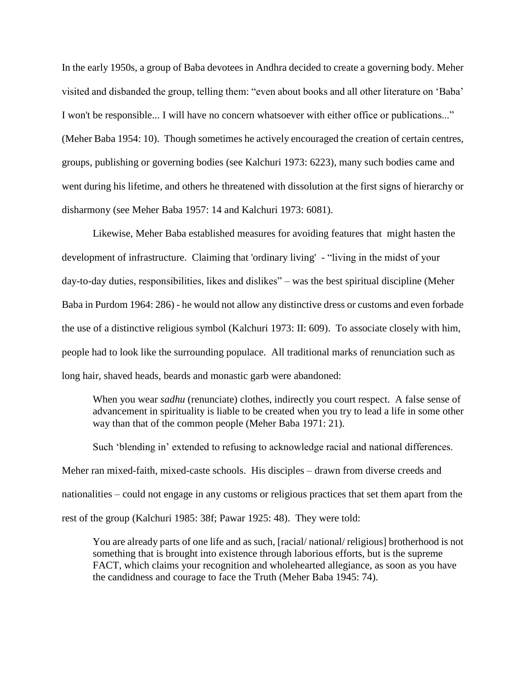In the early 1950s, a group of Baba devotees in Andhra decided to create a governing body. Meher visited and disbanded the group, telling them: "even about books and all other literature on 'Baba' I won't be responsible... I will have no concern whatsoever with either office or publications..." (Meher Baba 1954: 10). Though sometimes he actively encouraged the creation of certain centres, groups, publishing or governing bodies (see Kalchuri 1973: 6223), many such bodies came and went during his lifetime, and others he threatened with dissolution at the first signs of hierarchy or disharmony (see Meher Baba 1957: 14 and Kalchuri 1973: 6081).

Likewise, Meher Baba established measures for avoiding features that might hasten the development of infrastructure. Claiming that 'ordinary living' - "living in the midst of your day-to-day duties, responsibilities, likes and dislikes" – was the best spiritual discipline (Meher Baba in Purdom 1964: 286) - he would not allow any distinctive dress or customs and even forbade the use of a distinctive religious symbol (Kalchuri 1973: II: 609). To associate closely with him, people had to look like the surrounding populace. All traditional marks of renunciation such as long hair, shaved heads, beards and monastic garb were abandoned:

When you wear *sadhu* (renunciate) clothes, indirectly you court respect. A false sense of advancement in spirituality is liable to be created when you try to lead a life in some other way than that of the common people (Meher Baba 1971: 21).

Such 'blending in' extended to refusing to acknowledge racial and national differences. Meher ran mixed-faith, mixed-caste schools. His disciples – drawn from diverse creeds and nationalities – could not engage in any customs or religious practices that set them apart from the rest of the group (Kalchuri 1985: 38f; Pawar 1925: 48). They were told:

You are already parts of one life and as such, [racial/ national/ religious] brotherhood is not something that is brought into existence through laborious efforts, but is the supreme FACT, which claims your recognition and wholehearted allegiance, as soon as you have the candidness and courage to face the Truth (Meher Baba 1945: 74).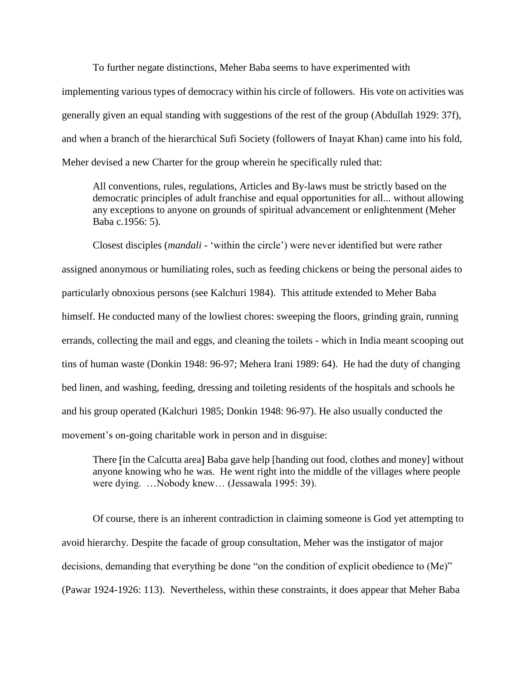To further negate distinctions, Meher Baba seems to have experimented with implementing various types of democracy within his circle of followers. His vote on activities was generally given an equal standing with suggestions of the rest of the group (Abdullah 1929: 37f), and when a branch of the hierarchical Sufi Society (followers of Inayat Khan) came into his fold, Meher devised a new Charter for the group wherein he specifically ruled that:

All conventions, rules, regulations, Articles and By-laws must be strictly based on the democratic principles of adult franchise and equal opportunities for all... without allowing any exceptions to anyone on grounds of spiritual advancement or enlightenment (Meher Baba c.1956: 5).

Closest disciples (*mandali* - 'within the circle') were never identified but were rather assigned anonymous or humiliating roles, such as feeding chickens or being the personal aides to particularly obnoxious persons (see Kalchuri 1984). This attitude extended to Meher Baba himself. He conducted many of the lowliest chores: sweeping the floors, grinding grain, running errands, collecting the mail and eggs, and cleaning the toilets - which in India meant scooping out tins of human waste (Donkin 1948: 96-97; Mehera Irani 1989: 64). He had the duty of changing bed linen, and washing, feeding, dressing and toileting residents of the hospitals and schools he and his group operated (Kalchuri 1985; Donkin 1948: 96-97). He also usually conducted the movement's on-going charitable work in person and in disguise:

There [in the Calcutta area] Baba gave help [handing out food, clothes and money] without anyone knowing who he was. He went right into the middle of the villages where people were dying. …Nobody knew… (Jessawala 1995: 39).

Of course, there is an inherent contradiction in claiming someone is God yet attempting to avoid hierarchy. Despite the facade of group consultation, Meher was the instigator of major decisions, demanding that everything be done "on the condition of explicit obedience to (Me)" (Pawar 1924-1926: 113). Nevertheless, within these constraints, it does appear that Meher Baba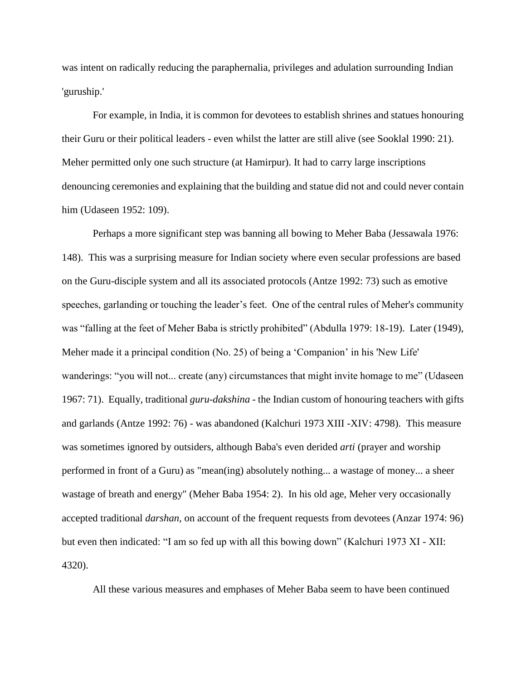was intent on radically reducing the paraphernalia, privileges and adulation surrounding Indian 'guruship.'

For example, in India, it is common for devotees to establish shrines and statues honouring their Guru or their political leaders - even whilst the latter are still alive (see Sooklal 1990: 21). Meher permitted only one such structure (at Hamirpur). It had to carry large inscriptions denouncing ceremonies and explaining that the building and statue did not and could never contain him (Udaseen 1952: 109).

Perhaps a more significant step was banning all bowing to Meher Baba (Jessawala 1976: 148). This was a surprising measure for Indian society where even secular professions are based on the Guru-disciple system and all its associated protocols (Antze 1992: 73) such as emotive speeches, garlanding or touching the leader's feet. One of the central rules of Meher's community was "falling at the feet of Meher Baba is strictly prohibited" (Abdulla 1979: 18-19). Later (1949), Meher made it a principal condition (No. 25) of being a 'Companion' in his 'New Life' wanderings: "you will not... create (any) circumstances that might invite homage to me" (Udaseen 1967: 71). Equally, traditional *guru-dakshina -* the Indian custom of honouring teachers with gifts and garlands (Antze 1992: 76) - was abandoned (Kalchuri 1973 XIII -XIV: 4798). This measure was sometimes ignored by outsiders, although Baba's even derided *arti* (prayer and worship performed in front of a Guru) as "mean(ing) absolutely nothing... a wastage of money... a sheer wastage of breath and energy" (Meher Baba 1954: 2). In his old age, Meher very occasionally accepted traditional *darshan,* on account of the frequent requests from devotees (Anzar 1974: 96) but even then indicated: "I am so fed up with all this bowing down" (Kalchuri 1973 XI - XII: 4320).

All these various measures and emphases of Meher Baba seem to have been continued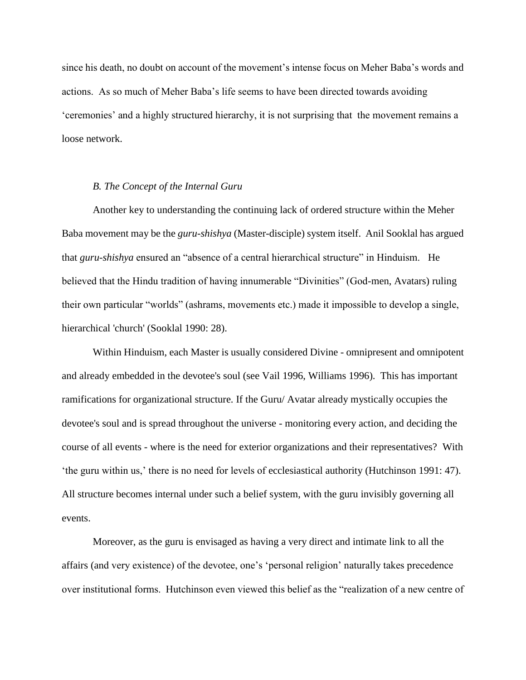since his death, no doubt on account of the movement's intense focus on Meher Baba's words and actions. As so much of Meher Baba's life seems to have been directed towards avoiding 'ceremonies' and a highly structured hierarchy, it is not surprising that the movement remains a loose network.

### *B. The Concept of the Internal Guru*

Another key to understanding the continuing lack of ordered structure within the Meher Baba movement may be the *guru-shishya* (Master-disciple) system itself. Anil Sooklal has argued that *guru-shishya* ensured an "absence of a central hierarchical structure" in Hinduism. He believed that the Hindu tradition of having innumerable "Divinities" (God-men, Avatars) ruling their own particular "worlds" (ashrams, movements etc.) made it impossible to develop a single, hierarchical 'church' (Sooklal 1990: 28).

Within Hinduism, each Master is usually considered Divine - omnipresent and omnipotent and already embedded in the devotee's soul (see Vail 1996, Williams 1996). This has important ramifications for organizational structure. If the Guru/ Avatar already mystically occupies the devotee's soul and is spread throughout the universe - monitoring every action, and deciding the course of all events - where is the need for exterior organizations and their representatives? With 'the guru within us,' there is no need for levels of ecclesiastical authority (Hutchinson 1991: 47). All structure becomes internal under such a belief system, with the guru invisibly governing all events.

Moreover, as the guru is envisaged as having a very direct and intimate link to all the affairs (and very existence) of the devotee, one's 'personal religion' naturally takes precedence over institutional forms. Hutchinson even viewed this belief as the "realization of a new centre of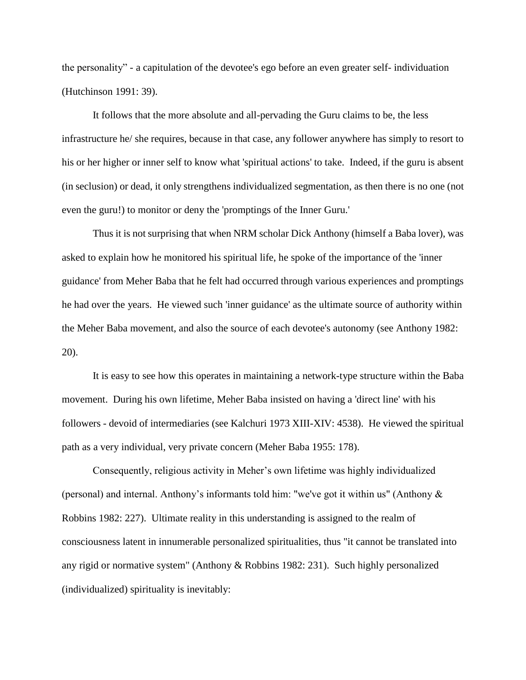the personality" - a capitulation of the devotee's ego before an even greater self- individuation (Hutchinson 1991: 39).

It follows that the more absolute and all-pervading the Guru claims to be, the less infrastructure he/ she requires, because in that case, any follower anywhere has simply to resort to his or her higher or inner self to know what 'spiritual actions' to take. Indeed, if the guru is absent (in seclusion) or dead, it only strengthens individualized segmentation, as then there is no one (not even the guru!) to monitor or deny the 'promptings of the Inner Guru.'

Thus it is not surprising that when NRM scholar Dick Anthony (himself a Baba lover), was asked to explain how he monitored his spiritual life, he spoke of the importance of the 'inner guidance' from Meher Baba that he felt had occurred through various experiences and promptings he had over the years. He viewed such 'inner guidance' as the ultimate source of authority within the Meher Baba movement, and also the source of each devotee's autonomy (see Anthony 1982: 20).

It is easy to see how this operates in maintaining a network-type structure within the Baba movement. During his own lifetime, Meher Baba insisted on having a 'direct line' with his followers - devoid of intermediaries (see Kalchuri 1973 XIII-XIV: 4538). He viewed the spiritual path as a very individual, very private concern (Meher Baba 1955: 178).

Consequently, religious activity in Meher's own lifetime was highly individualized (personal) and internal. Anthony's informants told him: "we've got it within us" (Anthony & Robbins 1982: 227). Ultimate reality in this understanding is assigned to the realm of consciousness latent in innumerable personalized spiritualities, thus "it cannot be translated into any rigid or normative system" (Anthony & Robbins 1982: 231). Such highly personalized (individualized) spirituality is inevitably: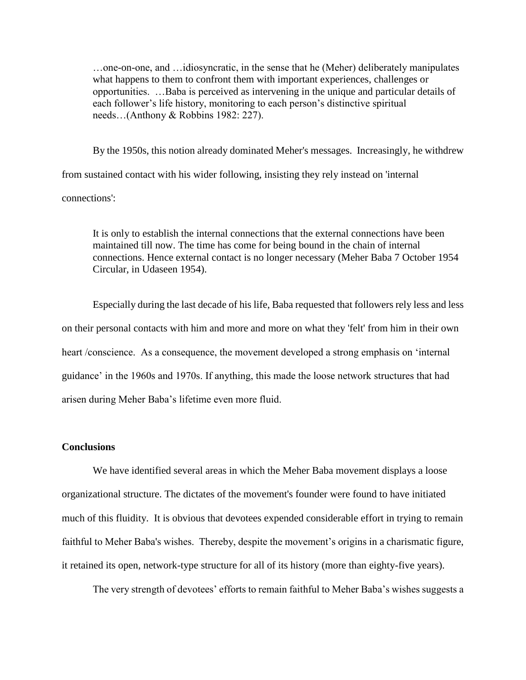…one-on-one, and …idiosyncratic, in the sense that he (Meher) deliberately manipulates what happens to them to confront them with important experiences, challenges or opportunities. …Baba is perceived as intervening in the unique and particular details of each follower's life history, monitoring to each person's distinctive spiritual needs…(Anthony & Robbins 1982: 227).

By the 1950s, this notion already dominated Meher's messages. Increasingly, he withdrew from sustained contact with his wider following, insisting they rely instead on 'internal connections':

It is only to establish the internal connections that the external connections have been maintained till now. The time has come for being bound in the chain of internal connections. Hence external contact is no longer necessary (Meher Baba 7 October 1954 Circular, in Udaseen 1954).

Especially during the last decade of his life, Baba requested that followers rely less and less on their personal contacts with him and more and more on what they 'felt' from him in their own heart /conscience. As a consequence, the movement developed a strong emphasis on 'internal guidance' in the 1960s and 1970s. If anything, this made the loose network structures that had arisen during Meher Baba's lifetime even more fluid.

## **Conclusions**

We have identified several areas in which the Meher Baba movement displays a loose organizational structure. The dictates of the movement's founder were found to have initiated much of this fluidity. It is obvious that devotees expended considerable effort in trying to remain faithful to Meher Baba's wishes. Thereby, despite the movement's origins in a charismatic figure, it retained its open, network-type structure for all of its history (more than eighty-five years).

The very strength of devotees' efforts to remain faithful to Meher Baba's wishes suggests a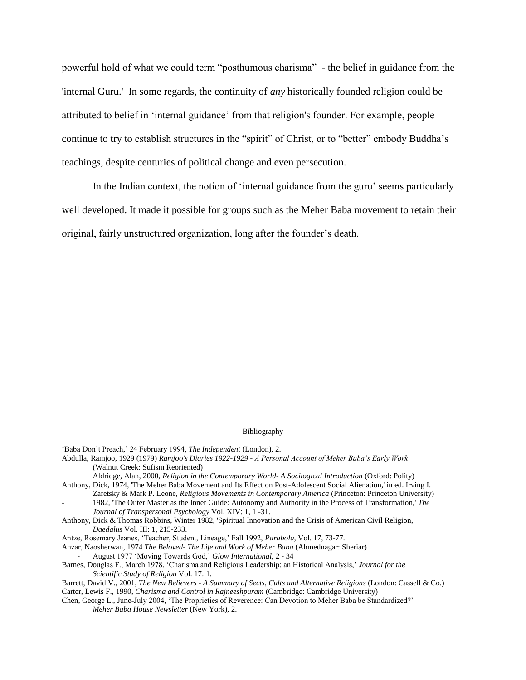powerful hold of what we could term "posthumous charisma" - the belief in guidance from the 'internal Guru.' In some regards, the continuity of *any* historically founded religion could be attributed to belief in 'internal guidance' from that religion's founder. For example, people continue to try to establish structures in the "spirit" of Christ, or to "better" embody Buddha's teachings, despite centuries of political change and even persecution.

In the Indian context, the notion of 'internal guidance from the guru' seems particularly well developed. It made it possible for groups such as the Meher Baba movement to retain their original, fairly unstructured organization, long after the founder's death.

#### Bibliography

'Baba Don't Preach,' 24 February 1994, *The Independent* (London), 2.

- Abdulla, Ramjoo, 1929 (1979) *Ramjoo's Diaries 1922-1929 - A Personal Account of Meher Baba's Early Work*  (Walnut Creek: Sufism Reoriented)
- Aldridge, Alan, 2000, *Religion in the Contemporary World- A Socilogical Introduction* (Oxford: Polity) Anthony, Dick, 1974, 'The Meher Baba Movement and Its Effect on Post-Adolescent Social Alienation,' in ed. Irving I.
- Zaretsky & Mark P. Leone, *Religious Movements in Contemporary America* (Princeton: Princeton University) - 1982, 'The Outer Master as the Inner Guide: Autonomy and Authority in the Process of Transformation,' *The Journal of Transpersonal Psychology* Vol. XIV: 1, 1 -31.
- Anthony, Dick & Thomas Robbins, Winter 1982, 'Spiritual Innovation and the Crisis of American Civil Religion,' *Daedalus* Vol. III: 1, 215-233.
- Antze, Rosemary Jeanes, 'Teacher, Student, Lineage,' Fall 1992, *Parabola,* Vol. 17, 73-77.
- Anzar, Naosherwan, 1974 *The Beloved- The Life and Work of Meher Baba* (Ahmednagar: Sheriar) - August 1977 'Moving Towards God,' *Glow International*, 2 - 34
- Barnes, Douglas F., March 1978, 'Charisma and Religious Leadership: an Historical Analysis,' *Journal for the Scientific Study of Religion* Vol. 17: 1.

Barrett, David V., 2001, *The New Believers - A Summary of Sects, Cults and Alternative Religions* (London: Cassell & Co.) Carter, Lewis F., 1990, *Charisma and Control in Rajneeshpuram* (Cambridge: Cambridge University)

Chen, George L., June-July 2004, 'The Proprieties of Reverence: Can Devotion to Meher Baba be Standardized?' *Meher Baba House Newsletter* (New York), 2.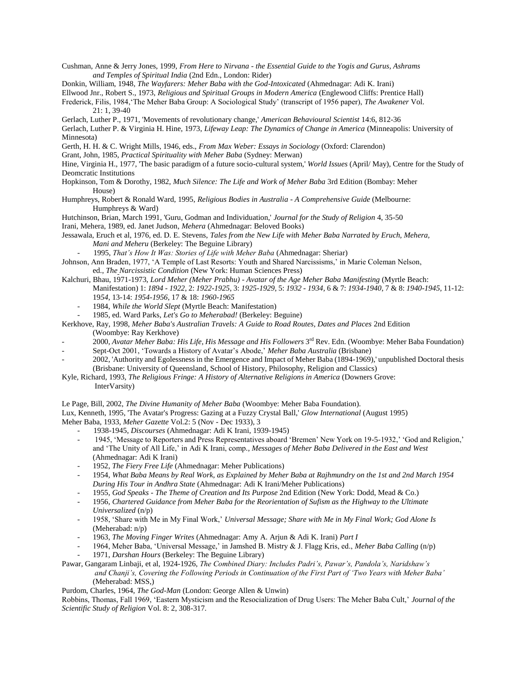- Cushman, Anne & Jerry Jones, 1999, *From Here to Nirvana - the Essential Guide to the Yogis and Gurus, Ashrams and Temples of Spiritual India* (2nd Edn., London: Rider)
- Donkin, William, 1948, *The Wayfarers: Meher Baba with the God-Intoxicated* (Ahmednagar: Adi K. Irani)
- Ellwood Jnr., Robert S., 1973, *Religious and Spiritual Groups in Modern America* (Englewood Cliffs: Prentice Hall)

Frederick, Filis, 1984,'The Meher Baba Group: A Sociological Study' (transcript of 1956 paper), *The Awakener* Vol. 21: 1, 39-40

Gerlach, Luther P., 1971, 'Movements of revolutionary change,' *American Behavioural Scientist* 14:6, 812-36

Gerlach, Luther P. & Virginia H. Hine, 1973, *Lifeway Leap: The Dynamics of Change in America* (Minneapolis: University of Minnesota)

Gerth, H. H. & C. Wright Mills, 1946, eds., *From Max Weber: Essays in Sociology* (Oxford: Clarendon)

Grant, John, 1985, *Practical Spirituality with Meher Baba* (Sydney: Merwan)

- Hine, Virginia H., 1977, 'The basic paradigm of a future socio-cultural system,' *World Issues* (April/ May), Centre for the Study of Deomcratic Institutions
- Hopkinson, Tom & Dorothy, 1982, *Much Silence: The Life and Work of Meher Baba* 3rd Edition (Bombay: Meher House)
- Humphreys, Robert & Ronald Ward, 1995, *Religious Bodies in Australia - A Comprehensive Guide* (Melbourne: Humphreys & Ward)

Hutchinson, Brian, March 1991, 'Guru, Godman and Individuation,' *Journal for the Study of Religion* 4, 35-50

- Irani, Mehera, 1989, ed. Janet Judson, *Mehera* (Ahmednagar: Beloved Books)
- Jessawala, Eruch et al, 1976, ed. D. E. Stevens, *Tales from the New Life with Meher Baba Narrated by Eruch, Mehera, Mani and Meheru* (Berkeley: The Beguine Library)
	- 1995, *That's How It Was: Stories of Life with Meher Baba* (Ahmednagar: Sheriar)
- Johnson, Ann Braden, 1977, 'A Temple of Last Resorts: Youth and Shared Narcissisms,' in Marie Coleman Nelson, ed., *The Narcissistic Condition* (New York: Human Sciences Press)
- Kalchuri, Bhau, 1971-1973, *Lord Meher (Meher Prabhu) - Avatar of the Age Meher Baba Manifesting* (Myrtle Beach: Manifestation) 1: *1894 - 1922*, 2: *1922-1925*, 3: *1925-1929,* 5: *1932 - 1934,* 6 & 7: *1934-1940*, 7 & 8: *1940-1945,* 11-12: 19*54*, 13-14: *1954-1956*, 17 & 18: *1960-1965*
	- 1984, *While the World Slept* (Myrtle Beach: Manifestation)
	- 1985, ed. Ward Parks, *Let's Go to Meherabad!* (Berkeley: Beguine)
- Kerkhove, Ray, 1998, *Meher Baba's Australian Travels: A Guide to Road Routes, Dates and Places* 2nd Edition (Woombye: Ray Kerkhove)
- 2000, *Avatar Meher Baba: His Life, His Message and His Followers* 3 rd Rev. Edn. (Woombye: Meher Baba Foundation)
- Sept-Oct 2001, 'Towards a History of Avatar's Abode,' *Meher Baba Australia* (Brisbane)
- 2002, 'Authority and Egolessness in the Emergence and Impact of Meher Baba (1894-1969),' unpublished Doctoral thesis (Brisbane: University of Queensland, School of History, Philosophy, Religion and Classics)
- Kyle, Richard, 1993, *The Religious Fringe: A History of Alternative Religions in America* (Downers Grove: InterVarsity)
- Le Page, Bill, 2002, *The Divine Humanity of Meher Baba* (Woombye: Meher Baba Foundation).

Lux, Kenneth, 1995, 'The Avatar's Progress: Gazing at a Fuzzy Crystal Ball,' *Glow International* (August 1995) Meher Baba, 1933, *Meher Gazette* Vol.2: 5 (Nov - Dec 1933), 3

- 1938-1945, *Discourses* (Ahmednagar: Adi K Irani, 1939-1945)
- 1945, 'Message to Reporters and Press Representatives aboard 'Bremen' New York on 19-5-1932,' 'God and Religion,' and 'The Unity of All Life,' in Adi K Irani, comp*., Messages of Meher Baba Delivered in the East and West* (Ahmednagar: Adi K Irani)
- 1952, *The Fiery Free Life* (Ahmednagar: Meher Publications)
- 1954, *What Baba Means by Real Work, as Explained by Meher Baba at Rajhmundry on the 1st and 2nd March 1954 During His Tour in Andhra State* (Ahmednagar: Adi K Irani/Meher Publications)
- 1955, *God Speaks - The Theme of Creation and Its Purpose* 2nd Edition (New York: Dodd, Mead & Co.)
- 1956, *Chartered Guidance from Meher Baba for the Reorientation of Sufism as the Highway to the Ultimate Universalized* (n/p)
- 1958, 'Share with Me in My Final Work,' *Universal Message; Share with Me in My Final Work; God Alone Is* (Meherabad: n/p)
- 1963, *The Moving Finger Writes* (Ahmednagar: Amy A. Arjun & Adi K. Irani) *Part I*
- 1964, Meher Baba, 'Universal Message,' in Jamshed B. Mistry & J. Flagg Kris, ed., *Meher Baba Calling* (n/p) - 1971, *Darshan Hours* (Berkeley: The Beguine Library)
- Pawar, Gangaram Linbaji, et al, 1924-1926, *The Combined Diary: Includes Padri's, Pawar's, Pandola's, Naridshaw's and Chanji's, Covering the Following Periods in Continuation of the First Part of 'Two Years with Meher Baba'* (Meherabad: MSS,)
- Purdom, Charles, 1964, *The God-Man* (London: George Allen & Unwin)

Robbins, Thomas, Fall 1969, 'Eastern Mysticism and the Resocialization of Drug Users: The Meher Baba Cult,' *Journal of the Scientific Study of Religion* Vol. 8: 2, 308-317.